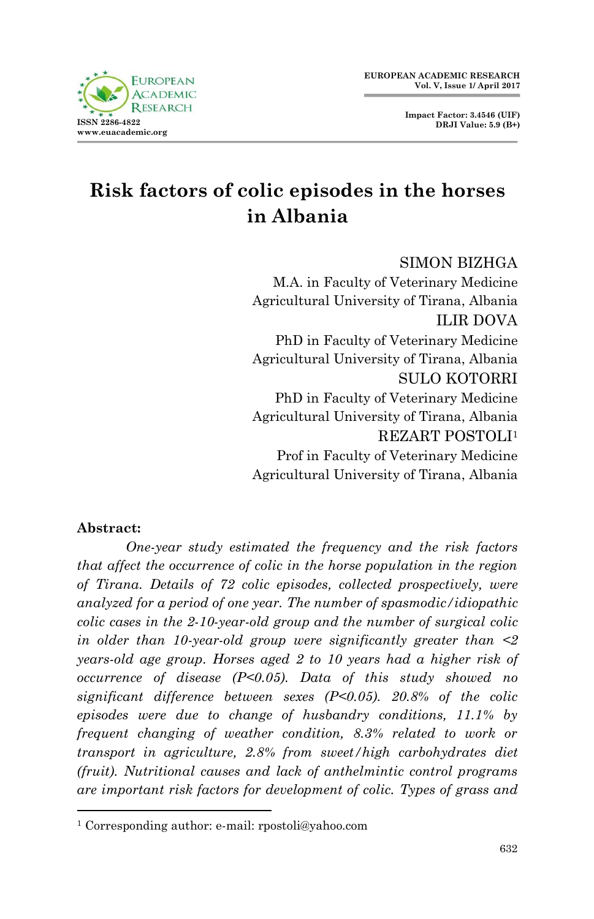

# **Risk factors of colic episodes in the horses in Albania**

#### SIMON BIZHGA

M.A. in Faculty of Veterinary Medicine Agricultural University of Tirana, Albania ILIR DOVA PhD in Faculty of Veterinary Medicine Agricultural University of Tirana, Albania SULO KOTORRI PhD in Faculty of Veterinary Medicine Agricultural University of Tirana, Albania REZART POSTOLI<sup>1</sup> Prof in Faculty of Veterinary Medicine Agricultural University of Tirana, Albania

#### **Abstract:**

1

*One-year study estimated the frequency and the risk factors that affect the occurrence of colic in the horse population in the region of Tirana. Details of 72 colic episodes, collected prospectively, were analyzed for a period of one year. The number of spasmodic/idiopathic colic cases in the 2-10-year-old group and the number of surgical colic in older than 10-year-old group were significantly greater than <2 years-old age group. Horses aged 2 to 10 years had a higher risk of occurrence of disease (P<0.05). Data of this study showed no significant difference between sexes (P<0.05). 20.8% of the colic episodes were due to change of husbandry conditions, 11.1% by frequent changing of weather condition, 8.3% related to work or transport in agriculture, 2.8% from sweet/high carbohydrates diet (fruit). Nutritional causes and lack of anthelmintic control programs are important risk factors for development of colic. Types of grass and* 

<sup>1</sup> Corresponding author: e-mail: rpostoli@yahoo.com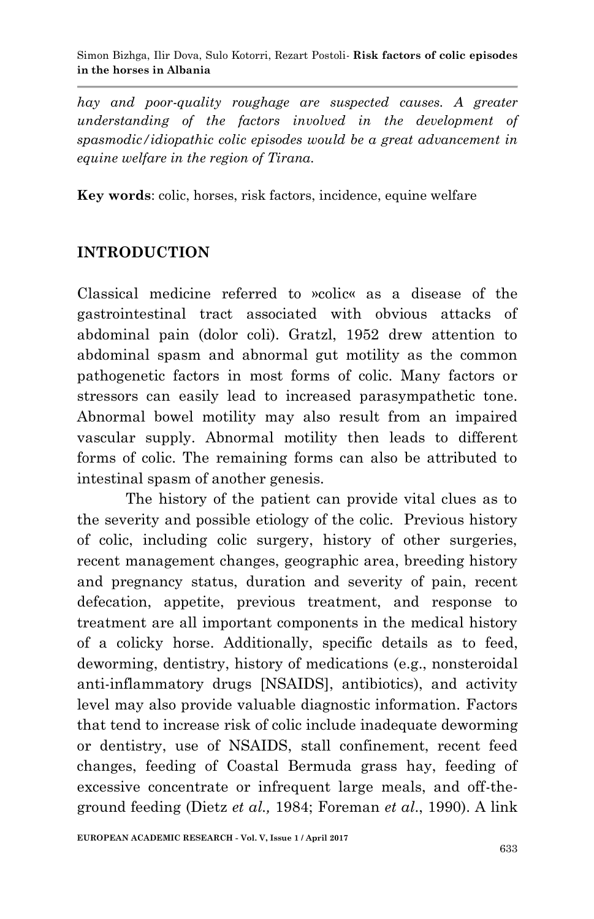Simon Bizhga, Ilir Dova, Sulo Kotorri, Rezart Postoli*-* **Risk factors of colic episodes in the horses in Albania**

*hay and poor-quality roughage are suspected causes. A greater understanding of the factors involved in the development of spasmodic/idiopathic colic episodes would be a great advancement in equine welfare in the region of Tirana.*

**Key words**: colic, horses, risk factors, incidence, equine welfare

## **INTRODUCTION**

Classical medicine referred to »colic« as a disease of the gastrointestinal tract associated with obvious attacks of abdominal pain (dolor coli). Gratzl, 1952 drew attention to abdominal spasm and abnormal gut motility as the common pathogenetic factors in most forms of colic. Many factors or stressors can easily lead to increased parasympathetic tone. Abnormal bowel motility may also result from an impaired vascular supply. Abnormal motility then leads to different forms of colic. The remaining forms can also be attributed to intestinal spasm of another genesis.

 The history of the patient can provide vital clues as to the severity and possible etiology of the colic. Previous history of colic, including colic surgery, history of other surgeries, recent management changes, geographic area, breeding history and pregnancy status, duration and severity of pain, recent defecation, appetite, previous treatment, and response to treatment are all important components in the medical history of a colicky horse. Additionally, specific details as to feed, deworming, dentistry, history of medications (e.g., nonsteroidal anti-inflammatory drugs [NSAIDS], antibiotics), and activity level may also provide valuable diagnostic information. Factors that tend to increase risk of colic include inadequate deworming or dentistry, use of NSAIDS, stall confinement, recent feed changes, feeding of Coastal Bermuda grass hay, feeding of excessive concentrate or infrequent large meals, and off-theground feeding (Dietz *et al.,* 1984; Foreman *et al*., 1990). A link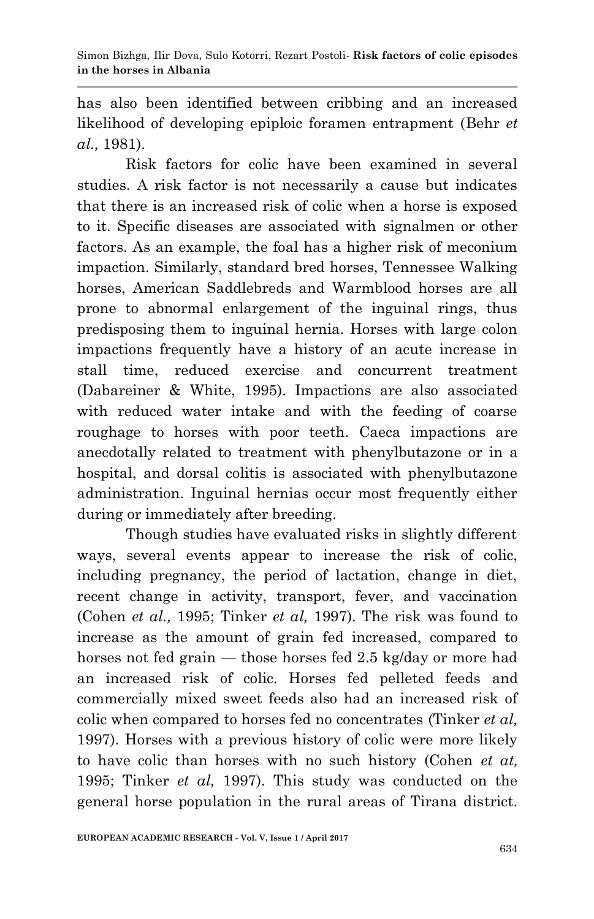has also been identified between cribbing and an increased likelihood of developing epiploic foramen entrapment (Behr *et al.,* 1981).

 Risk factors for colic have been examined in several studies. A risk factor is not necessarily a cause but indicates that there is an increased risk of colic when a horse is exposed to it. Specific diseases are associated with signalmen or other factors. As an example, the foal has a higher risk of meconium impaction. Similarly, standard bred horses, Tennessee Walking horses, American Saddlebreds and Warmblood horses are all prone to abnormal enlargement of the inguinal rings, thus predisposing them to inguinal hernia. Horses with large colon impactions frequently have a history of an acute increase in stall time, reduced exercise and concurrent treatment (Dabareiner & White, 1995). Impactions are also associated with reduced water intake and with the feeding of coarse roughage to horses with poor teeth. Caeca impactions are anecdotally related to treatment with phenylbutazone or in a hospital, and dorsal colitis is associated with phenylbutazone administration. Inguinal hernias occur most frequently either during or immediately after breeding.

Though studies have evaluated risks in slightly different ways, several events appear to increase the risk of colic, including pregnancy, the period of lactation, change in diet, recent change in activity, transport, fever, and vaccination (Cohen *et al.,* 1995; Tinker *et al,* 1997). The risk was found to increase as the amount of grain fed increased, compared to horses not fed grain — those horses fed 2.5 kg/day or more had an increased risk of colic. Horses fed pelleted feeds and commercially mixed sweet feeds also had an increased risk of colic when compared to horses fed no concentrates (Tinker *et al,* 1997). Horses with a previous history of colic were more likely to have colic than horses with no such history (Cohen *et at,* 1995; Tinker *et al,* 1997). This study was conducted on the general horse population in the rural areas of Tirana district.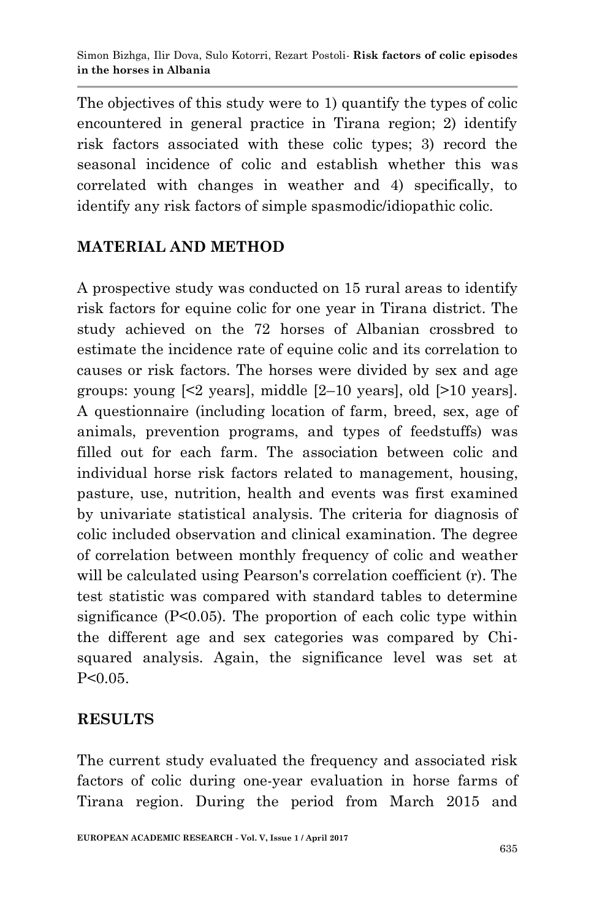The objectives of this study were to 1) quantify the types of colic encountered in general practice in Tirana region; 2) identify risk factors associated with these colic types; 3) record the seasonal incidence of colic and establish whether this was correlated with changes in weather and 4) specifically, to identify any risk factors of simple spasmodic/idiopathic colic.

# **MATERIAL AND METHOD**

A prospective study was conducted on 15 rural areas to identify risk factors for equine colic for one year in Tirana district. The study achieved on the 72 horses of Albanian crossbred to estimate the incidence rate of equine colic and its correlation to causes or risk factors. The horses were divided by sex and age groups: young  $\leq 2$  years, middle  $\leq 2-10$  years, old  $\leq 10$  years. A questionnaire (including location of farm, breed, sex, age of animals, prevention programs, and types of feedstuffs) was filled out for each farm. The association between colic and individual horse risk factors related to management, housing, pasture, use, nutrition, health and events was first examined by univariate statistical analysis. The criteria for diagnosis of colic included observation and clinical examination. The degree of correlation between monthly frequency of colic and weather will be calculated using Pearson's correlation coefficient (r). The test statistic was compared with standard tables to determine significance (P<0.05). The proportion of each colic type within the different age and sex categories was compared by Chisquared analysis. Again, the significance level was set at  $P < 0.05$ .

### **RESULTS**

The current study evaluated the frequency and associated risk factors of colic during one-year evaluation in horse farms of Tirana region. During the period from March 2015 and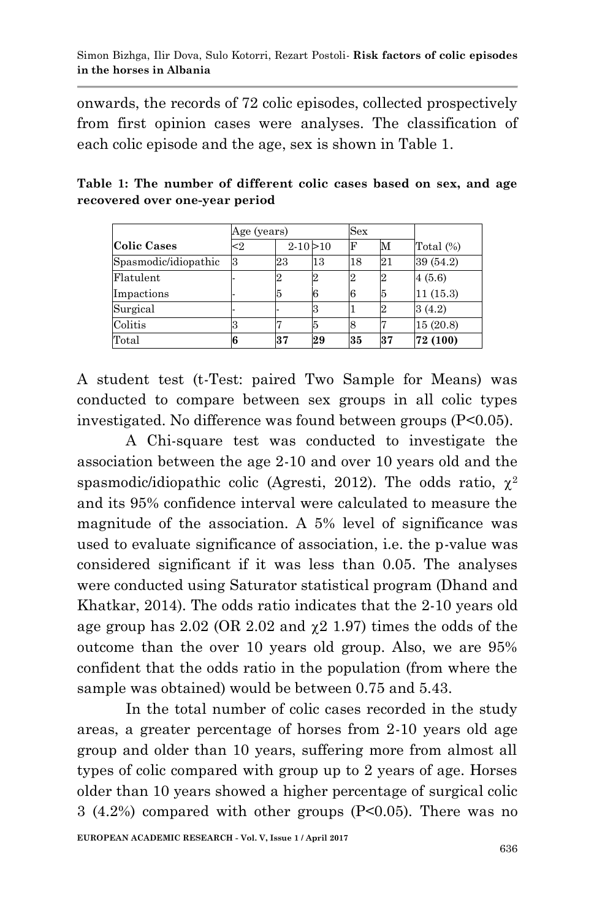onwards, the records of 72 colic episodes, collected prospectively from first opinion cases were analyses. The classification of each colic episode and the age, sex is shown in Table 1.

|                      | Age (years) |               |    | Sex |    |              |
|----------------------|-------------|---------------|----|-----|----|--------------|
| <b>Colic Cases</b>   | $\leq$ 2    | $2 - 10 > 10$ |    | F   | М  | Total $(\%)$ |
| Spasmodic/idiopathic | з           | 23            | 13 | 18  | 21 | 39 (54.2)    |
| Flatulent            |             | 12            |    |     |    | 4(5.6)       |
| Impactions           |             | 5             | ħ  |     | 5  | 11(15.3)     |
| Surgical             |             |               |    |     |    | 3(4.2)       |
| Colitis              |             |               |    |     |    | 15(20.8)     |
| Total                |             | 37            | 29 | 35  | 37 | 72 (100)     |

**Table 1: The number of different colic cases based on sex, and age recovered over one-year period**

A student test (t-Test: paired Two Sample for Means) was conducted to compare between sex groups in all colic types investigated. No difference was found between groups (P<0.05).

 A Chi-square test was conducted to investigate the association between the age 2-10 and over 10 years old and the spasmodic/idiopathic colic (Agresti, 2012). The odds ratio,  $\chi^2$ and its 95% confidence interval were calculated to measure the magnitude of the association. A 5% level of significance was used to evaluate significance of association, i.e. the p-value was considered significant if it was less than 0.05. The analyses were conducted using Saturator statistical program (Dhand and Khatkar, 2014). The odds ratio indicates that the 2-10 years old age group has  $2.02$  (OR  $2.02$  and  $\gamma$  2 1.97) times the odds of the outcome than the over 10 years old group. Also, we are 95% confident that the odds ratio in the population (from where the sample was obtained) would be between 0.75 and 5.43.

 In the total number of colic cases recorded in the study areas, a greater percentage of horses from 2-10 years old age group and older than 10 years, suffering more from almost all types of colic compared with group up to 2 years of age. Horses older than 10 years showed a higher percentage of surgical colic  $3(4.2%)$  compared with other groups (P<0.05). There was no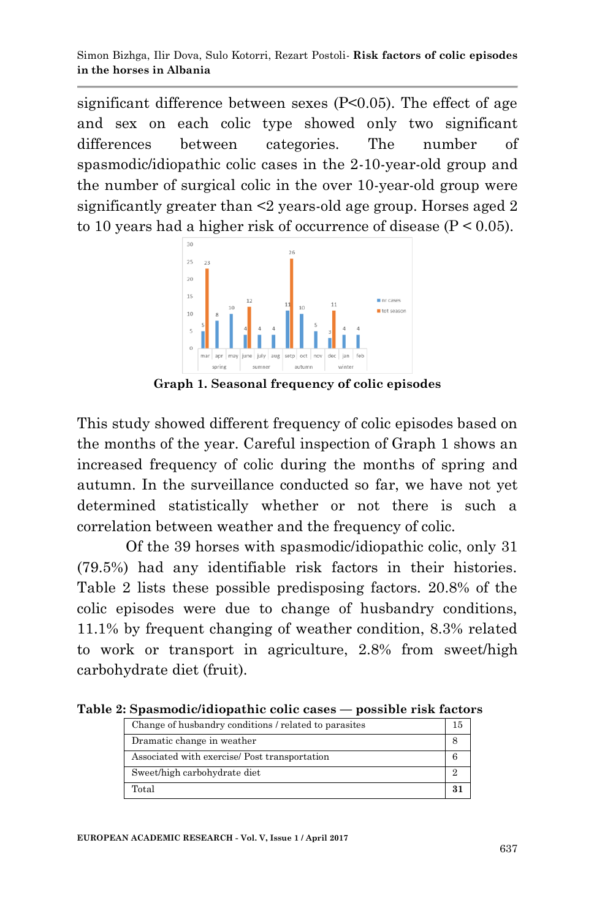significant difference between sexes (P<0.05). The effect of age and sex on each colic type showed only two significant differences between categories. The number of spasmodic/idiopathic colic cases in the 2-10-year-old group and the number of surgical colic in the over 10-year-old group were significantly greater than <2 years-old age group. Horses aged 2 to 10 years had a higher risk of occurrence of disease  $(P < 0.05)$ .



**Graph 1. Seasonal frequency of colic episodes**

This study showed different frequency of colic episodes based on the months of the year. Careful inspection of Graph 1 shows an increased frequency of colic during the months of spring and autumn. In the surveillance conducted so far, we have not yet determined statistically whether or not there is such a correlation between weather and the frequency of colic.

Of the 39 horses with spasmodic/idiopathic colic, only 31 (79.5%) had any identifiable risk factors in their histories. Table 2 lists these possible predisposing factors. 20.8% of the colic episodes were due to change of husbandry conditions, 11.1% by frequent changing of weather condition, 8.3% related to work or transport in agriculture, 2.8% from sweet/high carbohydrate diet (fruit).

**Table 2: Spasmodic/idiopathic colic cases — possible risk factors**

| Change of husbandry conditions / related to parasites |  |
|-------------------------------------------------------|--|
| Dramatic change in weather                            |  |
| Associated with exercise/ Post transportation         |  |
| Sweet/high carbohydrate diet                          |  |
| Total                                                 |  |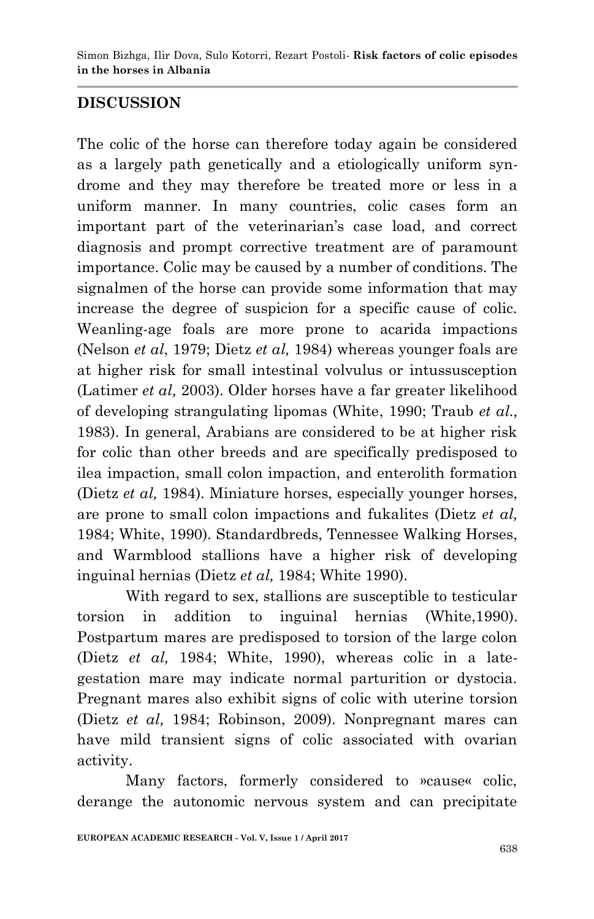# **DISCUSSION**

The colic of the horse can therefore today again be considered as a largely path genetically and a etiologically uniform syndrome and they may therefore be treated more or less in a uniform manner. In many countries, colic cases form an important part of the veterinarian's case load, and correct diagnosis and prompt corrective treatment are of paramount importance. Colic may be caused by a number of conditions. The signalmen of the horse can provide some information that may increase the degree of suspicion for a specific cause of colic. Weanling-age foals are more prone to acarida impactions (Nelson *et al*, 1979; Dietz *et al,* 1984) whereas younger foals are at higher risk for small intestinal volvulus or intussusception (Latimer *et al,* 2003). Older horses have a far greater likelihood of developing strangulating lipomas (White, 1990; Traub *et al.,* 1983). In general, Arabians are considered to be at higher risk for colic than other breeds and are specifically predisposed to ilea impaction, small colon impaction, and enterolith formation (Dietz *et al,* 1984). Miniature horses, especially younger horses, are prone to small colon impactions and fukalites (Dietz *et al,* 1984; White, 1990). Standardbreds, Tennessee Walking Horses, and Warmblood stallions have a higher risk of developing inguinal hernias (Dietz *et al,* 1984; White 1990).

With regard to sex, stallions are susceptible to testicular torsion in addition to inguinal hernias (White,1990). Postpartum mares are predisposed to torsion of the large colon (Dietz *et al,* 1984; White, 1990), whereas colic in a lategestation mare may indicate normal parturition or dystocia. Pregnant mares also exhibit signs of colic with uterine torsion (Dietz *et al,* 1984; Robinson, 2009). Nonpregnant mares can have mild transient signs of colic associated with ovarian activity.

Many factors, formerly considered to »cause« colic, derange the autonomic nervous system and can precipitate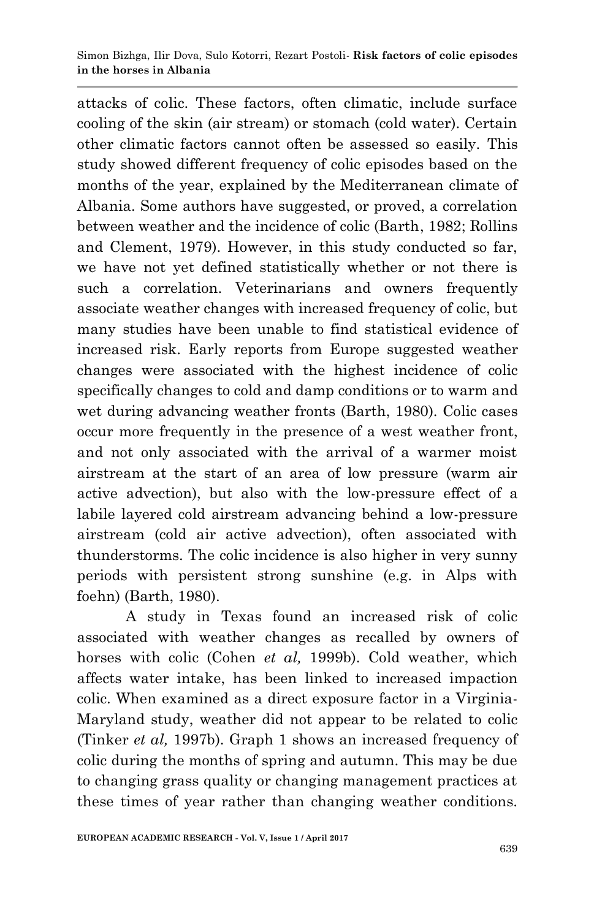attacks of colic. These factors, often climatic, include surface cooling of the skin (air stream) or stomach (cold water). Certain other climatic factors cannot often be assessed so easily. This study showed different frequency of colic episodes based on the months of the year, explained by the Mediterranean climate of Albania. Some authors have suggested, or proved, a correlation between weather and the incidence of colic (Barth, 1982; Rollins and Clement, 1979). However, in this study conducted so far, we have not yet defined statistically whether or not there is such a correlation. Veterinarians and owners frequently associate weather changes with increased frequency of colic, but many studies have been unable to find statistical evidence of increased risk. Early reports from Europe suggested weather changes were associated with the highest incidence of colic specifically changes to cold and damp conditions or to warm and wet during advancing weather fronts (Barth, 1980). Colic cases occur more frequently in the presence of a west weather front, and not only associated with the arrival of a warmer moist airstream at the start of an area of low pressure (warm air active advection), but also with the low-pressure effect of a labile layered cold airstream advancing behind a low-pressure airstream (cold air active advection), often associated with thunderstorms. The colic incidence is also higher in very sunny periods with persistent strong sunshine (e.g. in Alps with foehn) (Barth, 1980).

A study in Texas found an increased risk of colic associated with weather changes as recalled by owners of horses with colic (Cohen *et al,* 1999b). Cold weather, which affects water intake, has been linked to increased impaction colic. When examined as a direct exposure factor in a Virginia-Maryland study, weather did not appear to be related to colic (Tinker *et al,* 1997b). Graph 1 shows an increased frequency of colic during the months of spring and autumn. This may be due to changing grass quality or changing management practices at these times of year rather than changing weather conditions.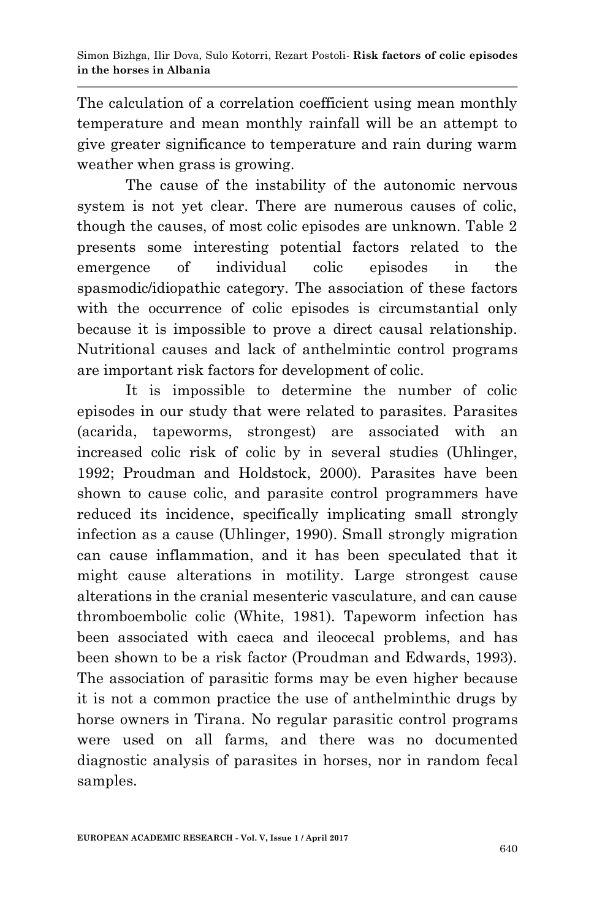The calculation of a correlation coefficient using mean monthly temperature and mean monthly rainfall will be an attempt to give greater significance to temperature and rain during warm weather when grass is growing.

The cause of the instability of the autonomic nervous system is not yet clear. There are numerous causes of colic, though the causes, of most colic episodes are unknown. Table 2 presents some interesting potential factors related to the emergence of individual colic episodes in the spasmodic/idiopathic category. The association of these factors with the occurrence of colic episodes is circumstantial only because it is impossible to prove a direct causal relationship. Nutritional causes and lack of anthelmintic control programs are important risk factors for development of colic.

 It is impossible to determine the number of colic episodes in our study that were related to parasites. Parasites (acarida, tapeworms, strongest) are associated with an increased colic risk of colic by in several studies (Uhlinger, 1992; Proudman and Holdstock, 2000). Parasites have been shown to cause colic, and parasite control programmers have reduced its incidence, specifically implicating small strongly infection as a cause (Uhlinger, 1990). Small strongly migration can cause inflammation, and it has been speculated that it might cause alterations in motility. Large strongest cause alterations in the cranial mesenteric vasculature, and can cause thromboembolic colic (White, 1981). Tapeworm infection has been associated with caeca and ileocecal problems, and has been shown to be a risk factor (Proudman and Edwards, 1993). The association of parasitic forms may be even higher because it is not a common practice the use of anthelminthic drugs by horse owners in Tirana. No regular parasitic control programs were used on all farms, and there was no documented diagnostic analysis of parasites in horses, nor in random fecal samples.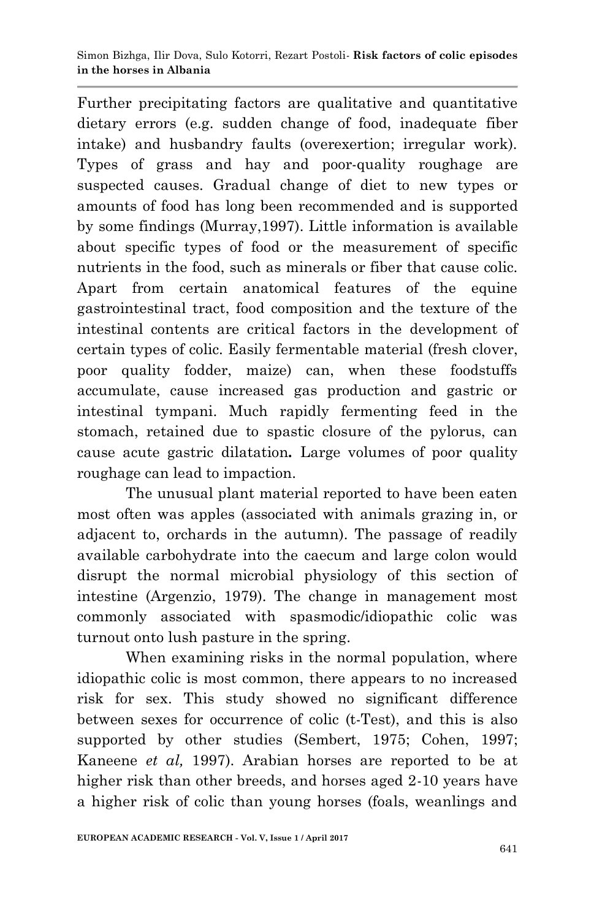Further precipitating factors are qualitative and quantitative dietary errors (e.g. sudden change of food, inadequate fiber intake) and husbandry faults (overexertion; irregular work). Types of grass and hay and poor-quality roughage are suspected causes. Gradual change of diet to new types or amounts of food has long been recommended and is supported by some findings (Murray,1997). Little information is available about specific types of food or the measurement of specific nutrients in the food, such as minerals or fiber that cause colic. Apart from certain anatomical features of the equine gastrointestinal tract, food composition and the texture of the intestinal contents are critical factors in the development of certain types of colic. Easily fermentable material (fresh clover, poor quality fodder, maize) can, when these foodstuffs accumulate, cause increased gas production and gastric or intestinal tympani. Much rapidly fermenting feed in the stomach, retained due to spastic closure of the pylorus, can cause acute gastric dilatation*.* Large volumes of poor quality roughage can lead to impaction.

The unusual plant material reported to have been eaten most often was apples (associated with animals grazing in, or adjacent to, orchards in the autumn). The passage of readily available carbohydrate into the caecum and large colon would disrupt the normal microbial physiology of this section of intestine (Argenzio, 1979). The change in management most commonly associated with spasmodic/idiopathic colic was turnout onto lush pasture in the spring.

When examining risks in the normal population, where idiopathic colic is most common, there appears to no increased risk for sex. This study showed no significant difference between sexes for occurrence of colic (t-Test), and this is also supported by other studies (Sembert, 1975; Cohen, 1997; Kaneene *et al,* 1997). Arabian horses are reported to be at higher risk than other breeds, and horses aged 2-10 years have a higher risk of colic than young horses (foals, weanlings and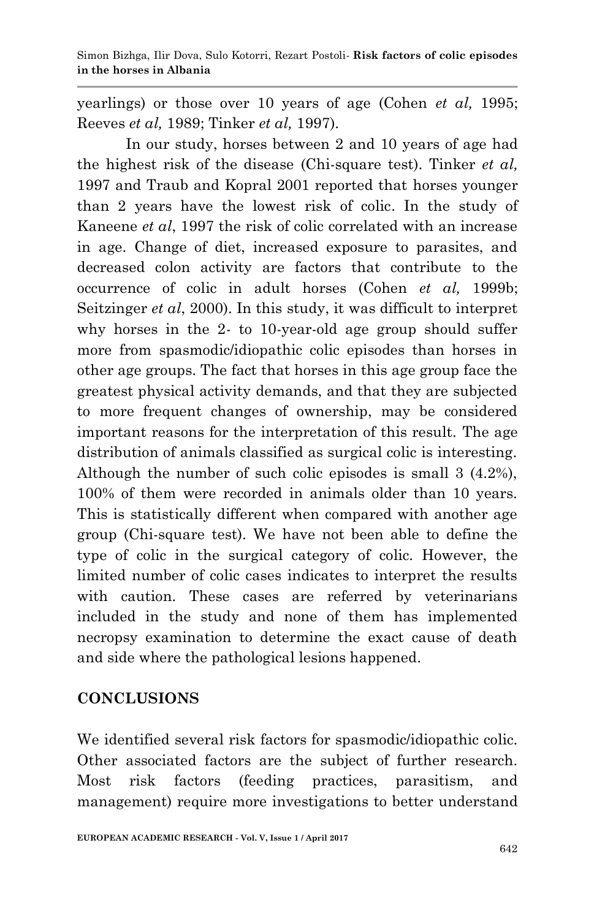yearlings) or those over 10 years of age (Cohen *et al,* 1995; Reeves *et al,* 1989; Tinker *et al,* 1997).

 In our study, horses between 2 and 10 years of age had the highest risk of the disease (Chi-square test). Tinker *et al,* 1997 and Traub and Kopral 2001 reported that horses younger than 2 years have the lowest risk of colic. In the study of Kaneene *et al*, 1997 the risk of colic correlated with an increase in age. Change of diet, increased exposure to parasites, and decreased colon activity are factors that contribute to the occurrence of colic in adult horses (Cohen *et al,* 1999b; Seitzinger *et al*, 2000). In this study, it was difficult to interpret why horses in the 2- to 10-year-old age group should suffer more from spasmodic/idiopathic colic episodes than horses in other age groups. The fact that horses in this age group face the greatest physical activity demands, and that they are subjected to more frequent changes of ownership, may be considered important reasons for the interpretation of this result. The age distribution of animals classified as surgical colic is interesting. Although the number of such colic episodes is small 3 (4.2%), 100% of them were recorded in animals older than 10 years. This is statistically different when compared with another age group (Chi-square test). We have not been able to define the type of colic in the surgical category of colic. However, the limited number of colic cases indicates to interpret the results with caution. These cases are referred by veterinarians included in the study and none of them has implemented necropsy examination to determine the exact cause of death and side where the pathological lesions happened.

### **CONCLUSIONS**

We identified several risk factors for spasmodic/idiopathic colic. Other associated factors are the subject of further research. Most risk factors (feeding practices, parasitism, and management) require more investigations to better understand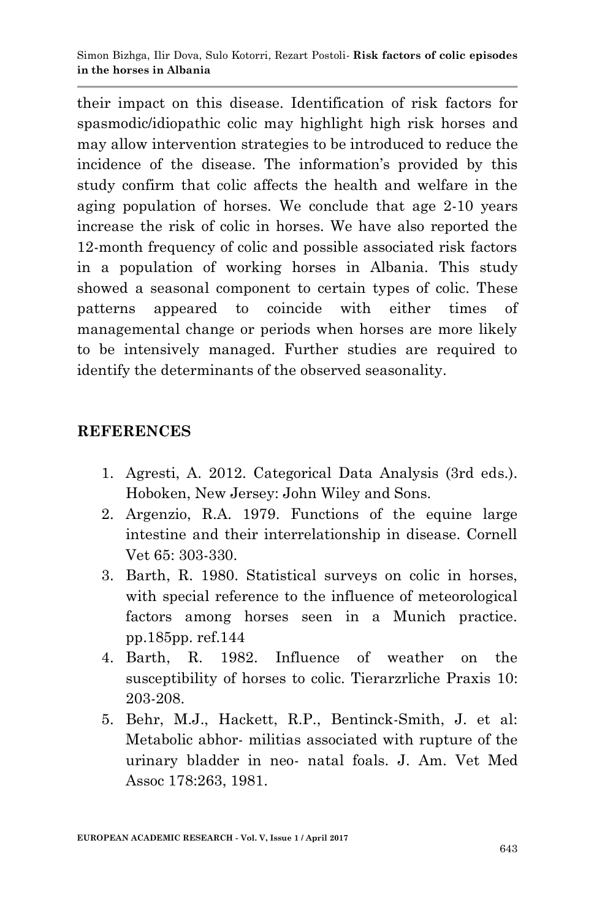their impact on this disease. Identification of risk factors for spasmodic/idiopathic colic may highlight high risk horses and may allow intervention strategies to be introduced to reduce the incidence of the disease. The information's provided by this study confirm that colic affects the health and welfare in the aging population of horses. We conclude that age 2-10 years increase the risk of colic in horses. We have also reported the 12-month frequency of colic and possible associated risk factors in a population of working horses in Albania. This study showed a seasonal component to certain types of colic. These patterns appeared to coincide with either times of managemental change or periods when horses are more likely to be intensively managed. Further studies are required to identify the determinants of the observed seasonality.

# **REFERENCES**

- 1. Agresti, A. 2012. Categorical Data Analysis (3rd eds.). Hoboken, New Jersey: John Wiley and Sons.
- 2. Argenzio, R.A. 1979. Functions of the equine large intestine and their interrelationship in disease. Cornell Vet 65: 303-330.
- 3. Barth, R. 1980. Statistical surveys on colic in horses, with special reference to the influence of meteorological factors among horses seen in a Munich practice. pp.185pp. ref.144
- 4. Barth, R. 1982. Influence of weather on the susceptibility of horses to colic. Tierarzrliche Praxis 10: 203-208.
- 5. Behr, M.J., Hackett, R.P., Bentinck-Smith, J. et al: Metabolic abhor- militias associated with rupture of the urinary bladder in neo- natal foals. J. Am. Vet Med Assoc 178:263, 1981.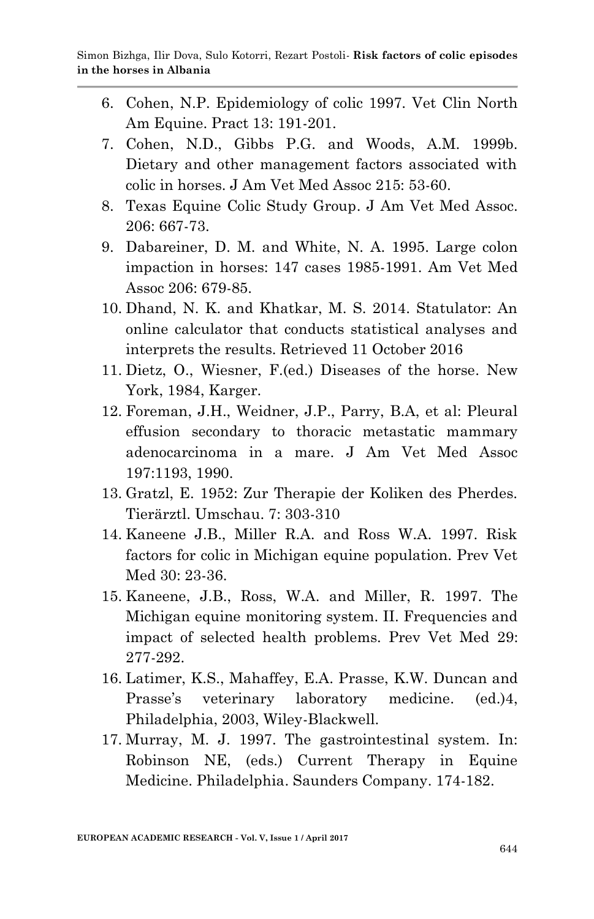- 6. Cohen, N.P. Epidemiology of colic 1997. Vet Clin North Am Equine. Pract 13: 191-201.
- 7. Cohen, N.D., Gibbs P.G. and Woods, A.M. 1999b. Dietary and other management factors associated with colic in horses. J Am Vet Med Assoc 215: 53-60.
- 8. Texas Equine Colic Study Group. J Am Vet Med Assoc. 206: 667-73.
- 9. Dabareiner, D. M. and White, N. A. 1995. Large colon impaction in horses: 147 cases 1985-1991. Am Vet Med Assoc 206: 679-85.
- 10. Dhand, N. K. and Khatkar, M. S. 2014. Statulator: An online calculator that conducts statistical analyses and interprets the results. Retrieved 11 October 2016
- 11. Dietz, O., Wiesner, F.(ed.) Diseases of the horse. New York, 1984, Karger.
- 12. Foreman, J.H., Weidner, J.P., Parry, B.A, et al: Pleural effusion secondary to thoracic metastatic mammary adenocarcinoma in a mare. J Am Vet Med Assoc 197:1193, 1990.
- 13. Gratzl, E. 1952: Zur Therapie der Koliken des Pherdes. Tierärztl. Umschau. 7: 303-310
- 14. Kaneene J.B., Miller R.A. and Ross W.A. 1997. Risk factors for colic in Michigan equine population. Prev Vet Med 30: 23-36.
- 15. Kaneene, J.B., Ross, W.A. and Miller, R. 1997. The Michigan equine monitoring system. II. Frequencies and impact of selected health problems. Prev Vet Med 29: 277-292.
- 16. Latimer, K.S., Mahaffey, E.A. Prasse, K.W. Duncan and Prasse's veterinary laboratory medicine. (ed.)4, Philadelphia, 2003, Wiley-Blackwell.
- 17. Murray, M. J. 1997. The gastrointestinal system. In: Robinson NE, (eds.) Current Therapy in Equine Medicine. Philadelphia. Saunders Company. 174-182.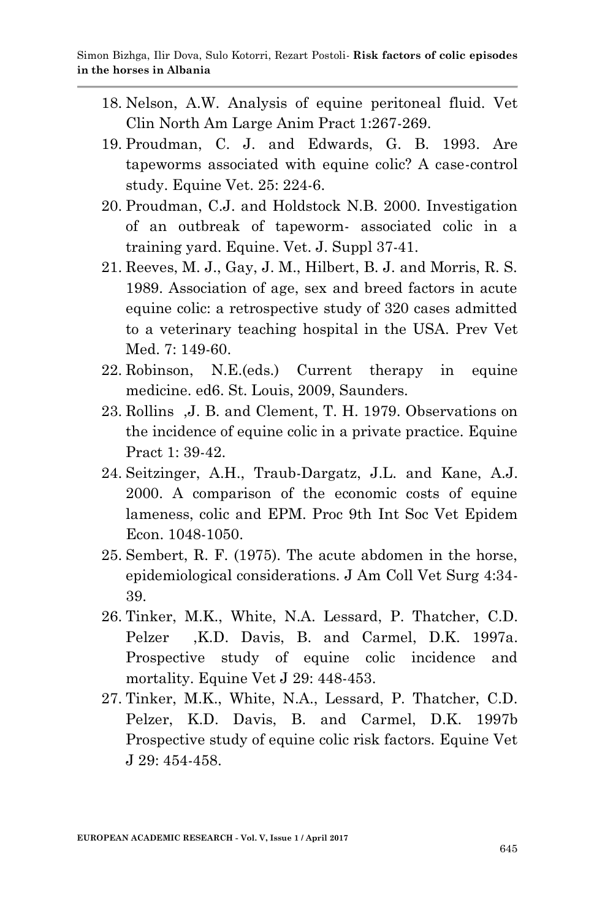- 18. Nelson, A.W. Analysis of equine peritoneal fluid. Vet Clin North Am Large Anim Pract 1:267-269.
- 19. Proudman, C. J. and Edwards, G. B. 1993. Are tapeworms associated with equine colic? A case-control study. Equine Vet. 25: 224-6.
- 20. Proudman, C.J. and Holdstock N.B. 2000. Investigation of an outbreak of tapeworm- associated colic in a training yard. Equine. Vet. J. Suppl 37-41.
- 21. Reeves, M. J., Gay, J. M., Hilbert, B. J. and Morris, R. S. 1989. Association of age, sex and breed factors in acute equine colic: a retrospective study of 320 cases admitted to a veterinary teaching hospital in the USA. Prev Vet Med. 7: 149-60.
- 22. Robinson, N.E.(eds.) Current therapy in equine medicine. ed6. St. Louis, 2009, Saunders.
- 23. Rollins ,J. B. and Clement, T. H. 1979. Observations on the incidence of equine colic in a private practice. Equine Pract 1: 39-42.
- 24. Seitzinger, A.H., Traub-Dargatz, J.L. and Kane, A.J. 2000. A comparison of the economic costs of equine lameness, colic and EPM. Proc 9th Int Soc Vet Epidem Econ. 1048-1050.
- 25. Sembert, R. F. (1975). The acute abdomen in the horse, epidemiological considerations. J Am Coll Vet Surg 4:34- 39.
- 26. Tinker, M.K., White, N.A. Lessard, P. Thatcher, C.D. Pelzer ,K.D. Davis, B. and Carmel, D.K. 1997a. Prospective study of equine colic incidence and mortality. Equine Vet J 29: 448-453.
- 27. Tinker, M.K., White, N.A., Lessard, P. Thatcher, C.D. Pelzer, K.D. Davis, B. and Carmel, D.K. 1997b Prospective study of equine colic risk factors. Equine Vet J 29: 454-458.